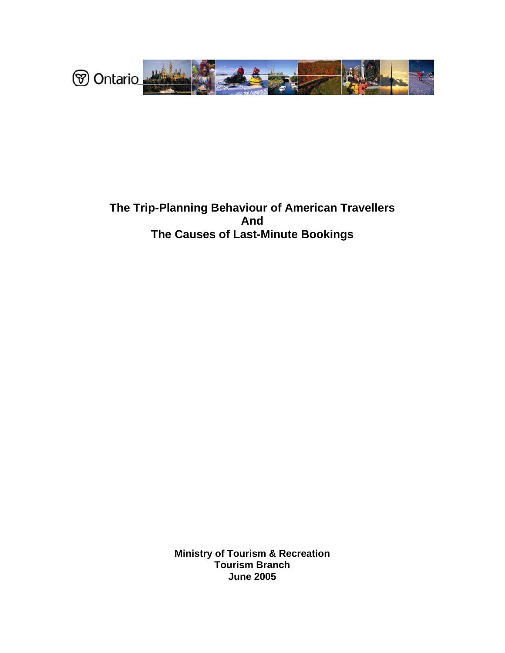

# **The Trip-Planning Behaviour of American Travellers And The Causes of Last-Minute Bookings**

**Ministry of Tourism & Recreation Tourism Branch June 2005**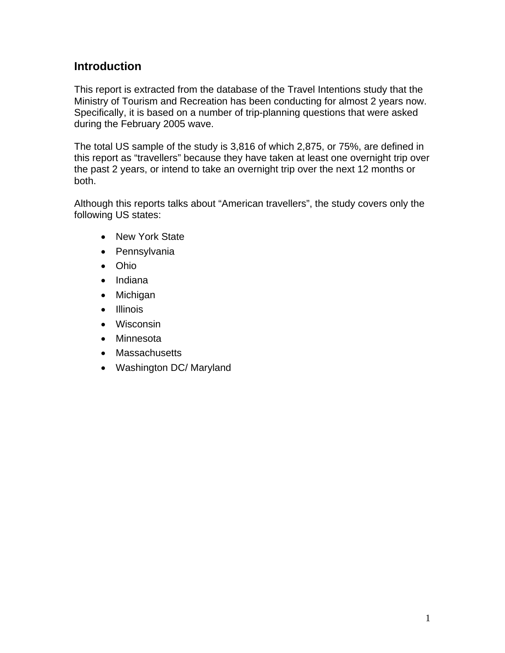# **Introduction**

This report is extracted from the database of the Travel Intentions study that the Ministry of Tourism and Recreation has been conducting for almost 2 years now. Specifically, it is based on a number of trip-planning questions that were asked during the February 2005 wave.

The total US sample of the study is 3,816 of which 2,875, or 75%, are defined in this report as "travellers" because they have taken at least one overnight trip over the past 2 years, or intend to take an overnight trip over the next 12 months or both.

Although this reports talks about "American travellers", the study covers only the following US states:

- New York State
- Pennsylvania
- Ohio
- Indiana
- Michigan
- Illinois
- Wisconsin
- Minnesota
- Massachusetts
- Washington DC/ Maryland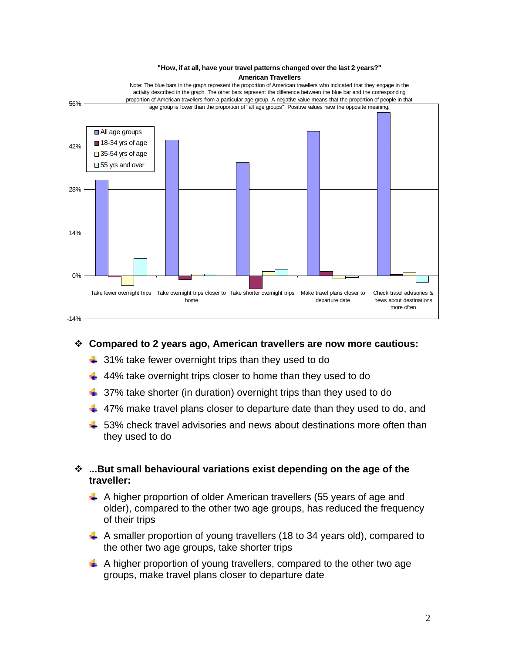

## **Compared to 2 years ago, American travellers are now more cautious:**

- $\frac{1}{2}$  31% take fewer overnight trips than they used to do
- $\ddagger$  44% take overnight trips closer to home than they used to do
- $\frac{1}{2}$  37% take shorter (in duration) overnight trips than they used to do
- $\ddotplus$  47% make travel plans closer to departure date than they used to do, and
- $\ddag$  53% check travel advisories and news about destinations more often than they used to do

## **...But small behavioural variations exist depending on the age of the traveller:**

- A higher proportion of older American travellers (55 years of age and older), compared to the other two age groups, has reduced the frequency of their trips
- $\downarrow$  A smaller proportion of young travellers (18 to 34 years old), compared to the other two age groups, take shorter trips
- $\downarrow$  A higher proportion of young travellers, compared to the other two age groups, make travel plans closer to departure date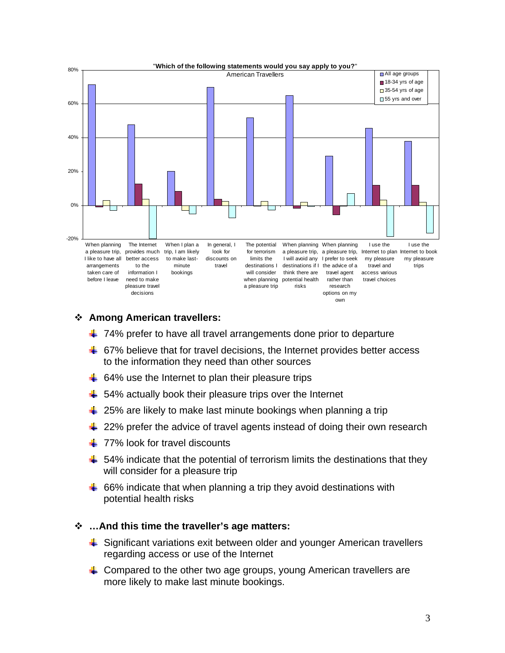

#### **Among American travellers:**

- $\frac{1}{2}$  74% prefer to have all travel arrangements done prior to departure
- $\div$  67% believe that for travel decisions, the Internet provides better access to the information they need than other sources
- $\ddot{+}$  64% use the Internet to plan their pleasure trips
- $\frac{1}{2}$  54% actually book their pleasure trips over the Internet
- $\frac{1}{2}$  25% are likely to make last minute bookings when planning a trip
- $\ddot{\phantom{1}}$  22% prefer the advice of travel agents instead of doing their own research
- $+$  **77% look for travel discounts**
- $\ddagger$  54% indicate that the potential of terrorism limits the destinations that they will consider for a pleasure trip
- $\ddot$  66% indicate that when planning a trip they avoid destinations with potential health risks

#### **…And this time the traveller's age matters:**

- $\frac{1}{2}$  Significant variations exit between older and younger American travellers regarding access or use of the Internet
- $\ddot{\phantom{1}}$  Compared to the other two age groups, young American travellers are more likely to make last minute bookings.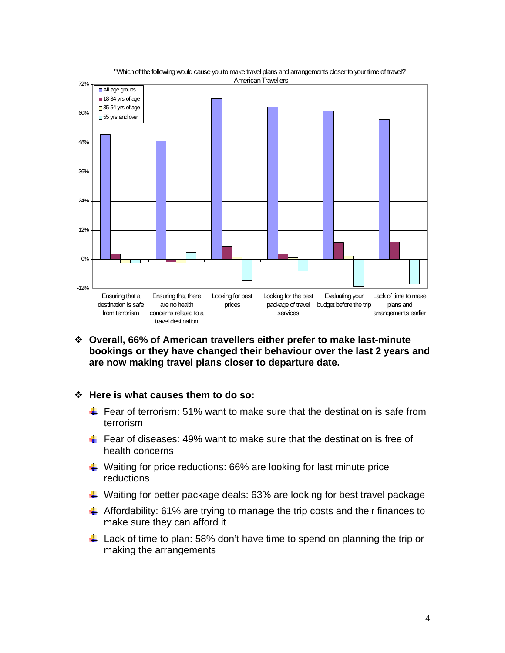

"Whichof the following would cause you to make travel plans and arrangements closer to your time of travel?"

- **Overall, 66% of American travellers either prefer to make last-minute bookings or they have changed their behaviour over the last 2 years and are now making travel plans closer to departure date.**
- **Here is what causes them to do so:** 
	- Fear of terrorism: 51% want to make sure that the destination is safe from terrorism
	- Fear of diseases: 49% want to make sure that the destination is free of health concerns
	- $\ddot{\bullet}$  Waiting for price reductions: 66% are looking for last minute price reductions
	- $\ddot{\bullet}$  Waiting for better package deals: 63% are looking for best travel package
	- $\triangleq$  Affordability: 61% are trying to manage the trip costs and their finances to make sure they can afford it
	- $\perp$  Lack of time to plan: 58% don't have time to spend on planning the trip or making the arrangements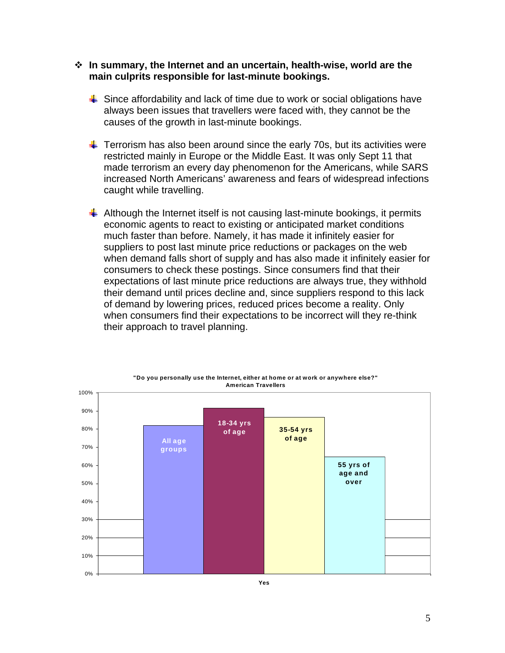#### **In summary, the Internet and an uncertain, health-wise, world are the main culprits responsible for last-minute bookings.**

- $\frac{1}{2}$  Since affordability and lack of time due to work or social obligations have always been issues that travellers were faced with, they cannot be the causes of the growth in last-minute bookings.
- $\ddot{\phantom{1}}$  Terrorism has also been around since the early 70s, but its activities were restricted mainly in Europe or the Middle East. It was only Sept 11 that made terrorism an every day phenomenon for the Americans, while SARS increased North Americans' awareness and fears of widespread infections caught while travelling.
- $\ddot{+}$  Although the Internet itself is not causing last-minute bookings, it permits economic agents to react to existing or anticipated market conditions much faster than before. Namely, it has made it infinitely easier for suppliers to post last minute price reductions or packages on the web when demand falls short of supply and has also made it infinitely easier for consumers to check these postings. Since consumers find that their expectations of last minute price reductions are always true, they withhold their demand until prices decline and, since suppliers respond to this lack of demand by lowering prices, reduced prices become a reality. Only when consumers find their expectations to be incorrect will they re-think their approach to travel planning.

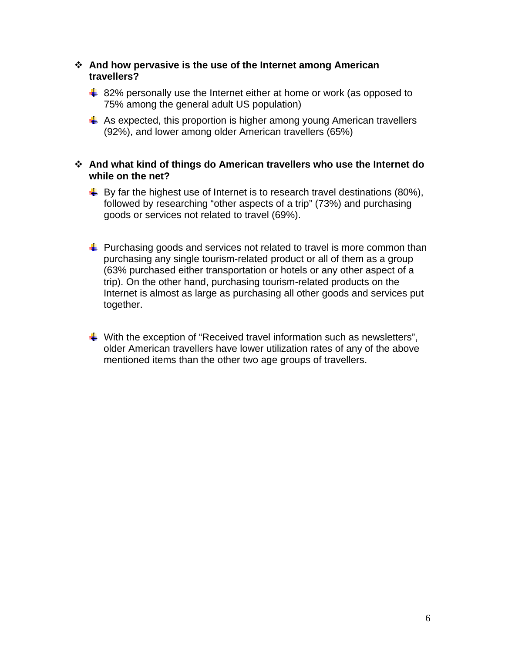#### **And how pervasive is the use of the Internet among American travellers?**

- $\frac{1}{2}$  82% personally use the Internet either at home or work (as opposed to 75% among the general adult US population)
- $\ddot{\bullet}$  As expected, this proportion is higher among young American travellers (92%), and lower among older American travellers (65%)
- **And what kind of things do American travellers who use the Internet do while on the net?** 
	- $\downarrow$  By far the highest use of Internet is to research travel destinations (80%), followed by researching "other aspects of a trip" (73%) and purchasing goods or services not related to travel (69%).
	- $\pm$  Purchasing goods and services not related to travel is more common than purchasing any single tourism-related product or all of them as a group (63% purchased either transportation or hotels or any other aspect of a trip). On the other hand, purchasing tourism-related products on the Internet is almost as large as purchasing all other goods and services put together.
	- $\ddot{\bullet}$  With the exception of "Received travel information such as newsletters", older American travellers have lower utilization rates of any of the above mentioned items than the other two age groups of travellers.